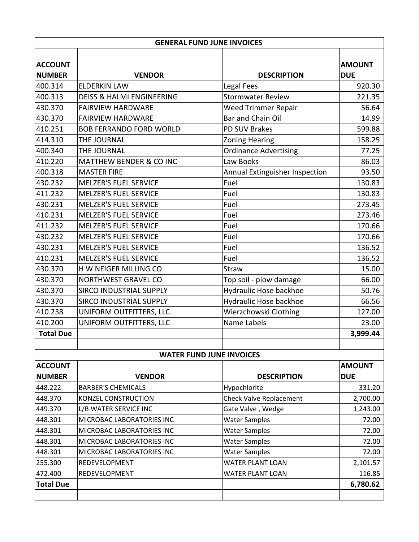| <b>GENERAL FUND JUNE INVOICES</b> |                                      |                                |                             |  |  |
|-----------------------------------|--------------------------------------|--------------------------------|-----------------------------|--|--|
| <b>ACCOUNT</b><br><b>NUMBER</b>   | <b>VENDOR</b>                        | <b>DESCRIPTION</b>             | <b>AMOUNT</b><br><b>DUE</b> |  |  |
| 400.314                           | <b>ELDERKIN LAW</b>                  | <b>Legal Fees</b>              | 920.30                      |  |  |
| 400.313                           | <b>DEISS &amp; HALMI ENGINEERING</b> | <b>Stormwater Review</b>       | 221.35                      |  |  |
| 430.370                           | <b>FAIRVIEW HARDWARE</b>             | Weed Trimmer Repair            | 56.64                       |  |  |
| 430.370                           | <b>FAIRVIEW HARDWARE</b>             | Bar and Chain Oil              | 14.99                       |  |  |
| 410.251                           | <b>BOB FERRANDO FORD WORLD</b>       | PD SUV Brakes                  | 599.88                      |  |  |
| 414.310                           | THE JOURNAL                          | <b>Zoning Hearing</b>          | 158.25                      |  |  |
| 400.340                           | THE JOURNAL                          | <b>Ordinance Advertising</b>   | 77.25                       |  |  |
| 410.220                           | <b>MATTHEW BENDER &amp; CO INC</b>   | Law Books                      | 86.03                       |  |  |
| 400.318                           | <b>MASTER FIRE</b>                   | Annual Extinguisher Inspection | 93.50                       |  |  |
| 430.232                           | <b>MELZER'S FUEL SERVICE</b>         | Fuel                           | 130.83                      |  |  |
| 411.232                           | <b>MELZER'S FUEL SERVICE</b>         | Fuel                           | 130.83                      |  |  |
| 430.231                           | <b>MELZER'S FUEL SERVICE</b>         | Fuel                           | 273.45                      |  |  |
| 410.231                           | <b>MELZER'S FUEL SERVICE</b>         | Fuel                           | 273.46                      |  |  |
| 411.232                           | <b>MELZER'S FUEL SERVICE</b>         | Fuel                           | 170.66                      |  |  |
| 430.232                           | <b>MELZER'S FUEL SERVICE</b>         | Fuel                           | 170.66                      |  |  |
| 430.231                           | <b>MELZER'S FUEL SERVICE</b>         | Fuel                           | 136.52                      |  |  |
| 410.231                           | MELZER'S FUEL SERVICE                | Fuel                           | 136.52                      |  |  |
| 430.370                           | H W NEIGER MILLING CO                | Straw                          | 15.00                       |  |  |
| 430.370                           | <b>NORTHWEST GRAVEL CO</b>           | Top soil - plow damage         | 66.00                       |  |  |
| 430.370                           | SIRCO INDUSTRIAL SUPPLY              | Hydraulic Hose backhoe         | 50.76                       |  |  |
| 430.370                           | SIRCO INDUSTRIAL SUPPLY              | Hydraulic Hose backhoe         | 66.56                       |  |  |
| 410.238                           | UNIFORM OUTFITTERS, LLC              | Wierzchowski Clothing          | 127.00                      |  |  |
| 410.200                           | UNIFORM OUTFITTERS, LLC              | Name Labels                    | 23.00                       |  |  |
| <b>Total Due</b>                  |                                      |                                | 3,999.44                    |  |  |
|                                   | <b>WATER FUND JUNE INVOICES</b>      |                                |                             |  |  |
| <b>ACCOUNT</b>                    |                                      |                                | <b>AMOUNT</b>               |  |  |
| <b>NUMBER</b>                     | <b>VENDOR</b>                        | <b>DESCRIPTION</b>             | <b>DUE</b>                  |  |  |
| 448.222                           | <b>BARBER'S CHEMICALS</b>            | Hypochlorite                   | 331.20                      |  |  |
| 448.370                           | KONZEL CONSTRUCTION                  | <b>Check Valve Replacement</b> | 2,700.00                    |  |  |
| 449.370                           | L/B WATER SERVICE INC                | Gate Valve, Wedge              | 1,243.00                    |  |  |
| 448.301                           | MICROBAC LABORATORIES INC            | <b>Water Samples</b>           | 72.00                       |  |  |
| 448.301                           | MICROBAC LABORATORIES INC            | <b>Water Samples</b>           | 72.00                       |  |  |
| 448.301                           | MICROBAC LABORATORIES INC            | <b>Water Samples</b>           | 72.00                       |  |  |
| 448.301                           | MICROBAC LABORATORIES INC            | <b>Water Samples</b>           | 72.00                       |  |  |
| 255.300                           | REDEVELOPMENT                        | <b>WATER PLANT LOAN</b>        | 2,101.57                    |  |  |
| 472.400                           | REDEVELOPMENT                        | <b>WATER PLANT LOAN</b>        | 116.85                      |  |  |
| <b>Total Due</b>                  |                                      |                                | 6,780.62                    |  |  |